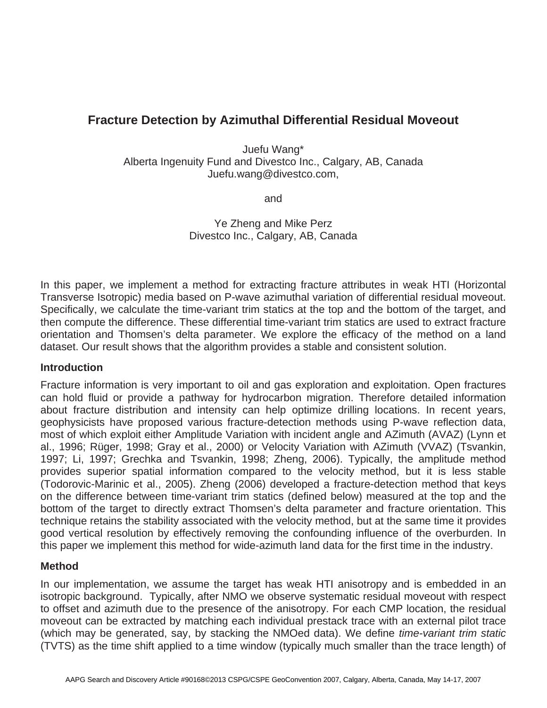# **Fracture Detection by Azimuthal Differential Residual Moveout**

Juefu Wang\* Alberta Ingenuity Fund and Divestco Inc., Calgary, AB, Canada Juefu.wang@divestco.com,

and

Ye Zheng and Mike Perz Divestco Inc., Calgary, AB, Canada

In this paper, we implement a method for extracting fracture attributes in weak HTI (Horizontal Transverse Isotropic) media based on P-wave azimuthal variation of differential residual moveout. Specifically, we calculate the time-variant trim statics at the top and the bottom of the target, and then compute the difference. These differential time-variant trim statics are used to extract fracture orientation and Thomsen's delta parameter. We explore the efficacy of the method on a land dataset. Our result shows that the algorithm provides a stable and consistent solution.

### **Introduction**

Fracture information is very important to oil and gas exploration and exploitation. Open fractures can hold fluid or provide a pathway for hydrocarbon migration. Therefore detailed information about fracture distribution and intensity can help optimize drilling locations. In recent years, geophysicists have proposed various fracture-detection methods using P-wave reflection data, most of which exploit either Amplitude Variation with incident angle and AZimuth (AVAZ) (Lynn et al., 1996; Rüger, 1998; Gray et al., 2000) or Velocity Variation with AZimuth (VVAZ) (Tsvankin, 1997; Li, 1997; Grechka and Tsvankin, 1998; Zheng, 2006). Typically, the amplitude method provides superior spatial information compared to the velocity method, but it is less stable (Todorovic-Marinic et al., 2005). Zheng (2006) developed a fracture-detection method that keys on the difference between time-variant trim statics (defined below) measured at the top and the bottom of the target to directly extract Thomsen's delta parameter and fracture orientation. This technique retains the stability associated with the velocity method, but at the same time it provides good vertical resolution by effectively removing the confounding influence of the overburden. In this paper we implement this method for wide-azimuth land data for the first time in the industry.

# **Method**

In our implementation, we assume the target has weak HTI anisotropy and is embedded in an isotropic background. Typically, after NMO we observe systematic residual moveout with respect to offset and azimuth due to the presence of the anisotropy. For each CMP location, the residual moveout can be extracted by matching each individual prestack trace with an external pilot trace (which may be generated, say, by stacking the NMOed data). We define *time-variant trim static* (TVTS) as the time shift applied to a time window (typically much smaller than the trace length) of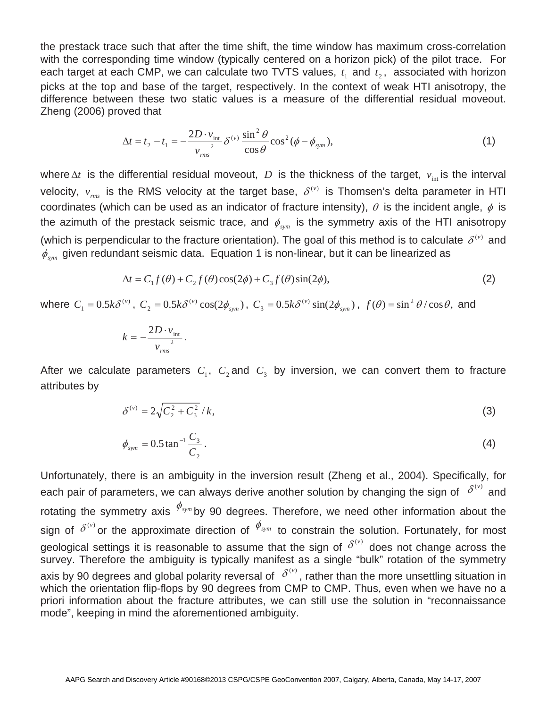the prestack trace such that after the time shift, the time window has maximum cross-correlation with the corresponding time window (typically centered on a horizon pick) of the pilot trace. For each target at each CMP, we can calculate two TVTS values,  $t_1$  and  $t_2$ , associated with horizon picks at the top and base of the target, respectively. In the context of weak HTI anisotropy, the difference between these two static values is a measure of the differential residual moveout. Zheng (2006) proved that

$$
\Delta t = t_2 - t_1 = -\frac{2D \cdot v_{\text{int}}}{v_{\text{rms}}^2} \delta^{(v)} \frac{\sin^2 \theta}{\cos \theta} \cos^2 (\phi - \phi_{\text{sym}}), \tag{1}
$$

where  $\Delta t$  is the differential residual moveout, *D* is the thickness of the target,  $v_{\text{int}}$  is the interval velocity,  $v_{rms}$  is the RMS velocity at the target base,  $\delta^{(v)}$  is Thomsen's delta parameter in HTI coordinates (which can be used as an indicator of fracture intensity),  $\theta$  is the incident angle,  $\phi$  is the azimuth of the prestack seismic trace, and  $\phi_{\scriptscriptstyle sym}$  is the symmetry axis of the HTI anisotropy (which is perpendicular to the fracture orientation). The goal of this method is to calculate  $\delta^{(v)}$  and  $\phi_{sym}$  given redundant seismic data. Equation 1 is non-linear, but it can be linearized as

$$
\Delta t = C_1 f(\theta) + C_2 f(\theta) \cos(2\phi) + C_3 f(\theta) \sin(2\phi), \tag{2}
$$

where  $C_1 = 0.5k\delta^{(v)}$ ,  $C_2 = 0.5k\delta^{(v)}\cos(2\phi_{sym})$ ,  $C_3 = 0.5k\delta^{(v)}\sin(2\phi_{sym})$ ,  $f(\theta) = \sin^2\theta/\cos\theta$ , and

$$
k = -\frac{2D \cdot v_{\text{int}}}{v_{\text{rms}}}.
$$

After we calculate parameters  $C_1$ ,  $C_2$  and  $C_3$  by inversion, we can convert them to fracture attributes by

$$
\delta^{(v)} = 2\sqrt{C_2^2 + C_3^2}/k,\tag{3}
$$

$$
\phi_{sym} = 0.5 \tan^{-1} \frac{C_3}{C_2} \,. \tag{4}
$$

Unfortunately, there is an ambiguity in the inversion result (Zheng et al., 2004). Specifically, for each pair of parameters, we can always derive another solution by changing the sign of  $\delta^{(v)}$  and rotating the symmetry axis  $\stackrel{\phi_{\textit{sym}}}{\sim}$ by 90 degrees. Therefore, we need other information about the sign of  $\delta^{(v)}$  or the approximate direction of  $\phi_{sym}$  to constrain the solution. Fortunately, for most geological settings it is reasonable to assume that the sign of  $\delta^{(v)}$  does not change across the survey. Therefore the ambiguity is typically manifest as a single "bulk" rotation of the symmetry axis by 90 degrees and global polarity reversal of  $\delta^{(v)}$ , rather than the more unsettling situation in which the orientation flip-flops by 90 degrees from CMP to CMP. Thus, even when we have no a priori information about the fracture attributes, we can still use the solution in "reconnaissance mode", keeping in mind the aforementioned ambiguity.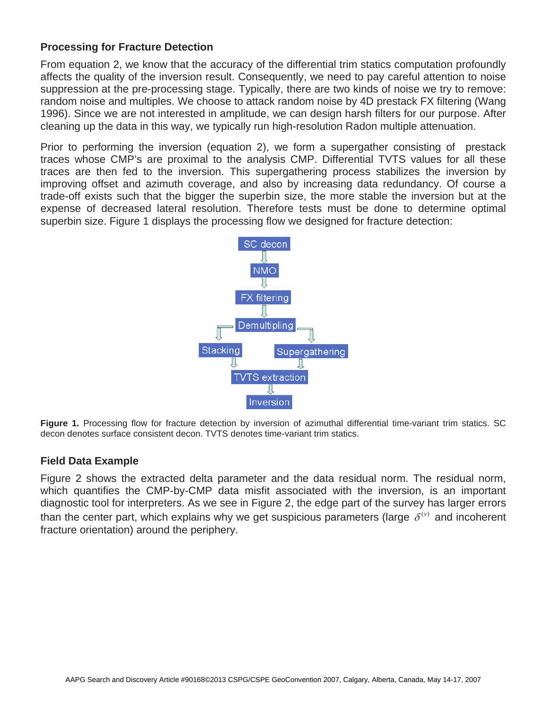## **Processing for Fracture Detection**

From equation 2, we know that the accuracy of the differential trim statics computation profoundly affects the quality of the inversion result. Consequently, we need to pay careful attention to noise suppression at the pre-processing stage. Typically, there are two kinds of noise we try to remove: random noise and multiples. We choose to attack random noise by 4D prestack FX filtering (Wang 1996). Since we are not interested in amplitude, we can design harsh filters for our purpose. After cleaning up the data in this way, we typically run high-resolution Radon multiple attenuation.

Prior to performing the inversion (equation 2), we form a supergather consisting of prestack traces whose CMP's are proximal to the analysis CMP. Differential TVTS values for all these traces are then fed to the inversion. This supergathering process stabilizes the inversion by improving offset and azimuth coverage, and also by increasing data redundancy. Of course a trade-off exists such that the bigger the superbin size, the more stable the inversion but at the expense of decreased lateral resolution. Therefore tests must be done to determine optimal superbin size. Figure 1 displays the processing flow we designed for fracture detection:



Figure 1. Processing flow for fracture detection by inversion of azimuthal differential time-variant trim statics. SC decon denotes surface consistent decon. TVTS denotes time-variant trim statics.

### **Field Data Example**

Figure 2 shows the extracted delta parameter and the data residual norm. The residual norm, which quantifies the CMP-by-CMP data misfit associated with the inversion, is an important diagnostic tool for interpreters. As we see in Figure 2, the edge part of the survey has larger errors than the center part, which explains why we get suspicious parameters (large  $\delta^{(v)}$  and incoherent fracture orientation) around the periphery.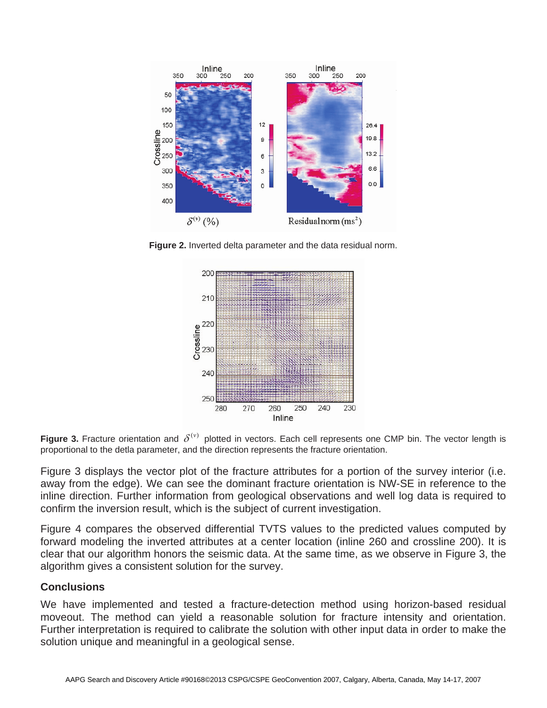

**Figure 2.** Inverted delta parameter and the data residual norm.



**Figure 3.** Fracture orientation and  $\delta^{(v)}$  plotted in vectors. Each cell represents one CMP bin. The vector length is proportional to the detla parameter, and the direction represents the fracture orientation.

Figure 3 displays the vector plot of the fracture attributes for a portion of the survey interior (i.e. away from the edge). We can see the dominant fracture orientation is NW-SE in reference to the inline direction. Further information from geological observations and well log data is required to confirm the inversion result, which is the subject of current investigation.

Figure 4 compares the observed differential TVTS values to the predicted values computed by forward modeling the inverted attributes at a center location (inline 260 and crossline 200). It is clear that our algorithm honors the seismic data. At the same time, as we observe in Figure 3, the algorithm gives a consistent solution for the survey.

### **Conclusions**

We have implemented and tested a fracture-detection method using horizon-based residual moveout. The method can yield a reasonable solution for fracture intensity and orientation. Further interpretation is required to calibrate the solution with other input data in order to make the solution unique and meaningful in a geological sense.